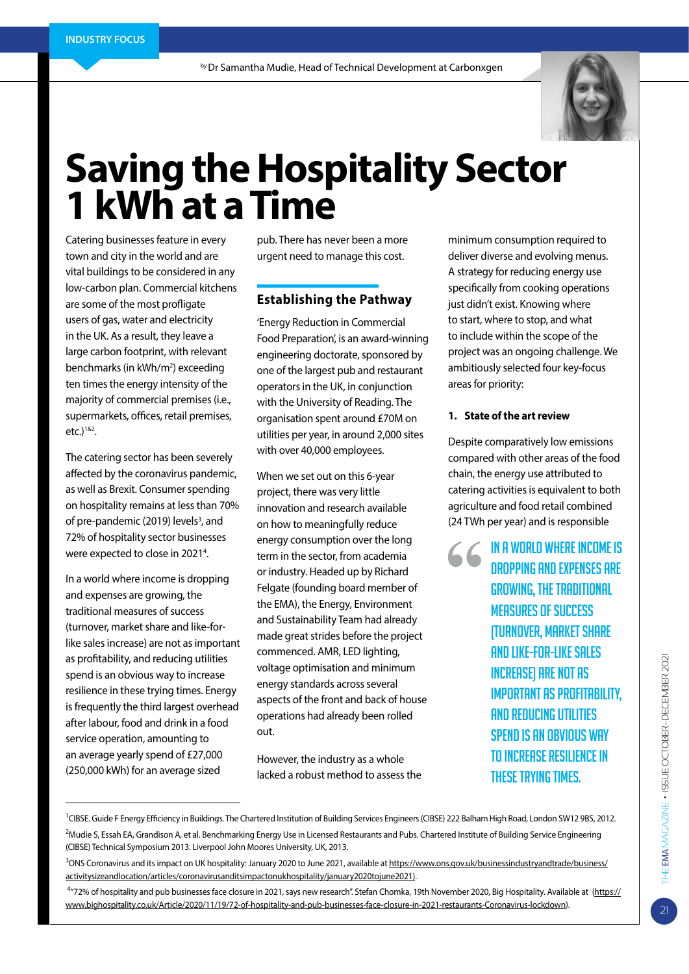

# **Saving the Hospitality Sector 1 kWh at a Time**

Catering businesses feature in every town and city in the world and are vital buildings to be considered in any low-carbon plan. Commercial kitchens are some of the most profligate users of gas, water and electricity in the UK. As a result, they leave a large carbon footprint, with relevant benchmarks (in kWh/m<sup>2</sup>) exceeding ten times the energy intensity of the majority of commercial premises (i.e., supermarkets, offices, retail premises,  $etc.$ )<sup>1&2</sup>.

The catering sector has been severely affected by the coronavirus pandemic, as well as Brexit. Consumer spending on hospitality remains at less than 70% of pre-pandemic (2019) levels<sup>3</sup>, and 72% of hospitality sector businesses were expected to close in 2021<sup>4</sup>.

In a world where income is dropping and expenses are growing, the traditional measures of success (turnover, market share and like-forlike sales increase) are not as important as profitability, and reducing utilities spend is an obvious way to increase resilience in these trying times. Energy is frequently the third largest overhead after labour, food and drink in a food service operation, amounting to an average yearly spend of £27,000 (250,000 kWh) for an average sized

pub. There has never been a more urgent need to manage this cost.

## **Establishing the Pathway**

'Energy Reduction in Commercial Food Preparation', is an award-winning engineering doctorate, sponsored by one of the largest pub and restaurant operators in the UK, in conjunction with the University of Reading. The organisation spent around £70M on utilities per year, in around 2,000 sites with over 40,000 employees.

When we set out on this 6-year project, there was very little innovation and research available on how to meaningfully reduce energy consumption over the long term in the sector, from academia or industry. Headed up by Richard Felgate (founding board member of the EMA), the Energy, Environment and Sustainability Team had already made great strides before the project commenced. AMR, LED lighting, voltage optimisation and minimum energy standards across several aspects of the front and back of house operations had already been rolled out.

However, the industry as a whole lacked a robust method to assess the minimum consumption required to deliver diverse and evolving menus. A strategy for reducing energy use specifically from cooking operations just didn't exist. Knowing where to start, where to stop, and what to include within the scope of the project was an ongoing challenge. We ambitiously selected four key-focus areas for priority:

#### **1. State of the art review**

Despite comparatively low emissions compared with other areas of the food chain, the energy use attributed to catering activities is equivalent to both agriculture and food retail combined (24 TWh per year) and is responsible

> **6** IN A WORLD WHERE INCOME IS DROPPING AND EXPENSES ARE GROWING, THE TRADITIONAL MEASURES OF SUCCESS (TURNOVER, MARKET SHARE AND LIKE-FOR-LIKE SALES INCREASE) ARE NOT AS IMPORTANT AS PROFITABILITY, AND REDUCING UTILITIES SPEND IS AN OBVIOUS WAY TO INCREASE RESILIENCE IN THESE TRYING TIMES.

<sup>&</sup>lt;sup>1</sup>CIBSE. Guide F Energy Efficiency in Buildings. The Chartered Institution of Building Services Engineers (CIBSE) 222 Balham High Road, London SW12 9BS, 2012. <sup>2</sup>Mudie S, Essah EA, Grandison A, et al. Benchmarking Energy Use in Licensed Restaurants and Pubs. Chartered Institute of Building Service Engineering (CIBSE) Technical Symposium 2013. Liverpool John Moores University, UK, 2013.

<sup>&</sup>lt;sup>3</sup>ONS Coronavirus and its impact on UK hospitality: January 2020 to June 2021, available at <u>https://www.ons.gov.uk/businessindustryandtrade/business/</u> activitysizeandlocation/articles/coronavirusanditsimpactonukhospitality/january2020tojune2021).

<sup>4</sup> "72% of hospitality and pub businesses face closure in 2021, says new research". Stefan Chomka, 19th November 2020, Big Hospitality. Available at (https:// www.bighospitality.co.uk/Article/2020/11/19/72-of-hospitality-and-pub-businesses-face-closure-in-2021-restaurants-Coronavirus-lockdown).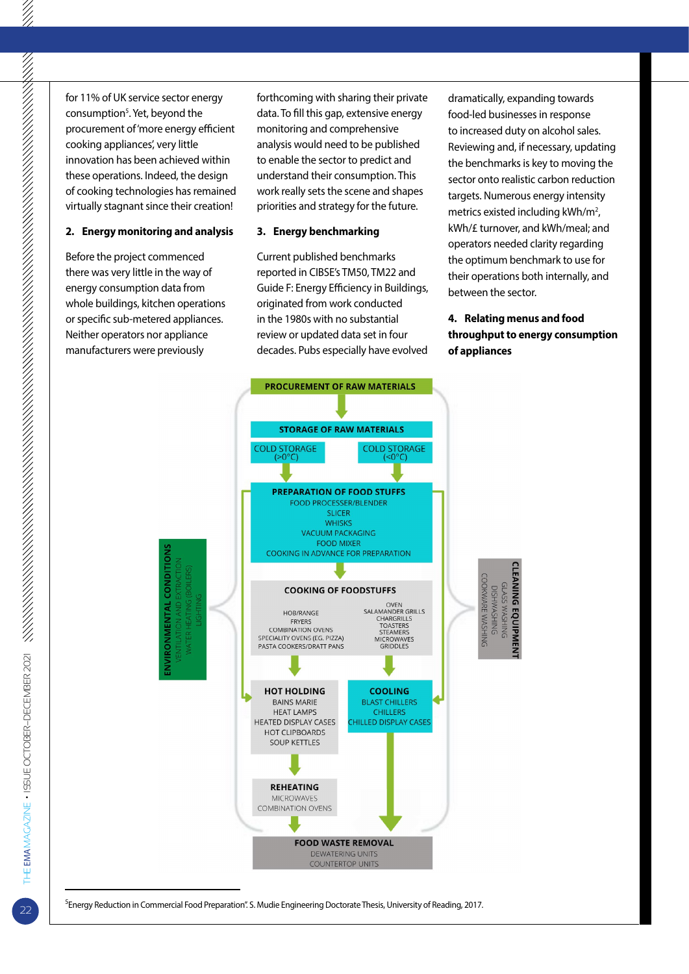for 11% of UK service sector energy consumption<sup>5</sup>. Yet, beyond the procurement of 'more energy efficient cooking appliances', very little innovation has been achieved within these operations. Indeed, the design of cooking technologies has remained virtually stagnant since their creation!

#### **2. Energy monitoring and analysis**

Before the project commenced there was very little in the way of energy consumption data from whole buildings, kitchen operations or specific sub-metered appliances. Neither operators nor appliance manufacturers were previously

forthcoming with sharing their private data. To fill this gap, extensive energy monitoring and comprehensive analysis would need to be published to enable the sector to predict and understand their consumption. This work really sets the scene and shapes priorities and strategy for the future.

#### **3. Energy benchmarking**

Current published benchmarks reported in CIBSE's TM50, TM22 and Guide F: Energy Efficiency in Buildings, originated from work conducted in the 1980s with no substantial review or updated data set in four decades. Pubs especially have evolved

dramatically, expanding towards food-led businesses in response to increased duty on alcohol sales. Reviewing and, if necessary, updating the benchmarks is key to moving the sector onto realistic carbon reduction targets. Numerous energy intensity metrics existed including kWh/m<sup>2</sup>, kWh/£ turnover, and kWh/meal; and operators needed clarity regarding the optimum benchmark to use for their operations both internally, and between the sector.

## **4. Relating menus and food throughput to energy consumption of appliances**



<sup>5</sup>Energy Reduction in Commercial Food Preparation". S. Mudie Engineering Doctorate Thesis, University of Reading, 2017.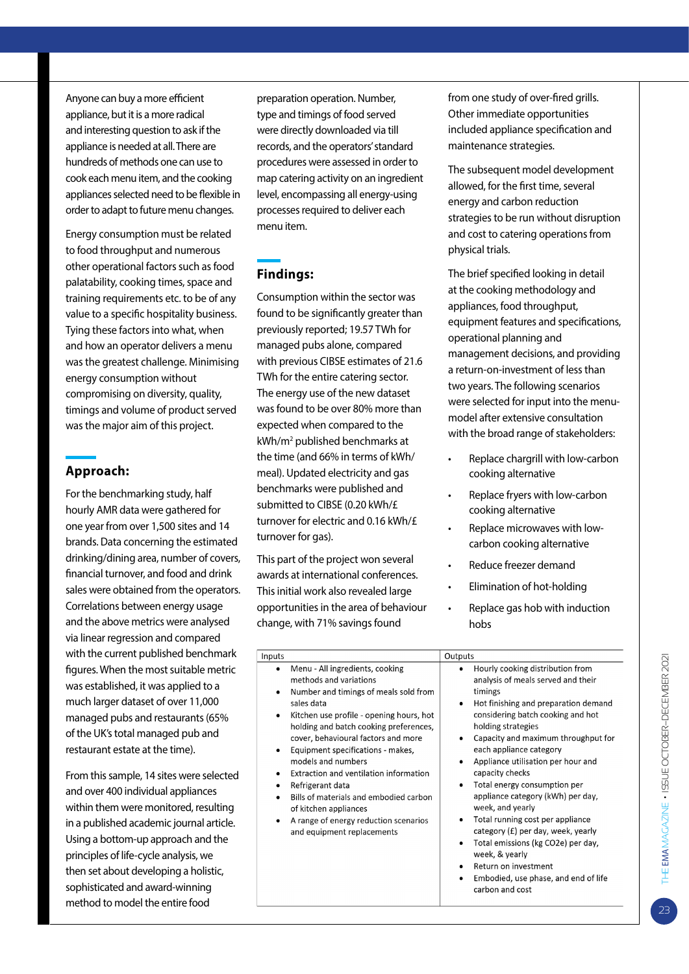Anyone can buy a more efficient appliance, but it is a more radical and interesting question to ask if the appliance is needed at all. There are hundreds of methods one can use to cook each menu item, and the cooking appliances selected need to be flexible in order to adapt to future menu changes.

Energy consumption must be related to food throughput and numerous other operational factors such as food palatability, cooking times, space and training requirements etc. to be of any value to a specific hospitality business. Tying these factors into what, when and how an operator delivers a menu was the greatest challenge. Minimising energy consumption without compromising on diversity, quality, timings and volume of product served was the major aim of this project.

## **Approach:**

For the benchmarking study, half hourly AMR data were gathered for one year from over 1,500 sites and 14 brands. Data concerning the estimated drinking/dining area, number of covers, financial turnover, and food and drink sales were obtained from the operators. Correlations between energy usage and the above metrics were analysed via linear regression and compared with the current published benchmark figures. When the most suitable metric was established, it was applied to a much larger dataset of over 11,000 managed pubs and restaurants (65% of the UK's total managed pub and restaurant estate at the time).

From this sample, 14 sites were selected and over 400 individual appliances within them were monitored, resulting in a published academic journal article. Using a bottom-up approach and the principles of life-cycle analysis, we then set about developing a holistic, sophisticated and award-winning method to model the entire food

preparation operation. Number, type and timings of food served were directly downloaded via till records, and the operators' standard procedures were assessed in order to map catering activity on an ingredient level, encompassing all energy-using processes required to deliver each menu item.

# **Findings:**

Consumption within the sector was found to be significantly greater than previously reported; 19.57 TWh for managed pubs alone, compared with previous CIBSE estimates of 21.6 TWh for the entire catering sector. The energy use of the new dataset was found to be over 80% more than expected when compared to the kWh/m2 published benchmarks at the time (and 66% in terms of kWh/ meal). Updated electricity and gas benchmarks were published and submitted to CIBSE (0.20 kWh/£ turnover for electric and 0.16 kWh/£ turnover for gas).

This part of the project won several awards at international conferences. This initial work also revealed large opportunities in the area of behaviour change, with 71% savings found

from one study of over-fired grills. Other immediate opportunities included appliance specification and maintenance strategies.

The subsequent model development allowed, for the first time, several energy and carbon reduction strategies to be run without disruption and cost to catering operations from physical trials.

The brief specified looking in detail at the cooking methodology and appliances, food throughput, equipment features and specifications, operational planning and management decisions, and providing a return-on-investment of less than two years. The following scenarios were selected for input into the menumodel after extensive consultation with the broad range of stakeholders:

- Replace chargrill with low-carbon cooking alternative
- Replace fryers with low-carbon cooking alternative
- Replace microwaves with lowcarbon cooking alternative
- Reduce freezer demand
- Elimination of hot-holding
- • Replace gas hob with induction hobs

| Inputs                                                                                                                                                                                                                                                                                                                                                                                                                                                                                                                                                      | Outputs                                                                                                                                                                                                                                                                                                                                                                                                                                                                                                                                                                                                                                                                        |
|-------------------------------------------------------------------------------------------------------------------------------------------------------------------------------------------------------------------------------------------------------------------------------------------------------------------------------------------------------------------------------------------------------------------------------------------------------------------------------------------------------------------------------------------------------------|--------------------------------------------------------------------------------------------------------------------------------------------------------------------------------------------------------------------------------------------------------------------------------------------------------------------------------------------------------------------------------------------------------------------------------------------------------------------------------------------------------------------------------------------------------------------------------------------------------------------------------------------------------------------------------|
| Menu - All ingredients, cooking<br>٠<br>methods and variations<br>Number and timings of meals sold from<br>٠<br>sales data<br>Kitchen use profile - opening hours, hot<br>$\bullet$<br>holding and batch cooking preferences,<br>cover, behavioural factors and more<br>Equipment specifications - makes,<br>٠<br>models and numbers<br>Extraction and ventilation information<br>٠<br>Refrigerant data<br>٠<br>Bills of materials and embodied carbon<br>٠<br>of kitchen appliances<br>A range of energy reduction scenarios<br>and equipment replacements | Hourly cooking distribution from<br>analysis of meals served and their<br>timings<br>Hot finishing and preparation demand<br>$\bullet$<br>considering batch cooking and hot<br>holding strategies<br>Capacity and maximum throughput for<br>٠<br>each appliance category<br>Appliance utilisation per hour and<br>capacity checks<br>Total energy consumption per<br>$\bullet$<br>appliance category (kWh) per day,<br>week, and yearly<br>Total running cost per appliance<br>category (£) per day, week, yearly<br>Total emissions (kg CO2e) per day,<br>$\bullet$<br>week, & yearly<br>Return on investment<br>Embodied, use phase, and end of life<br>٠<br>carbon and cost |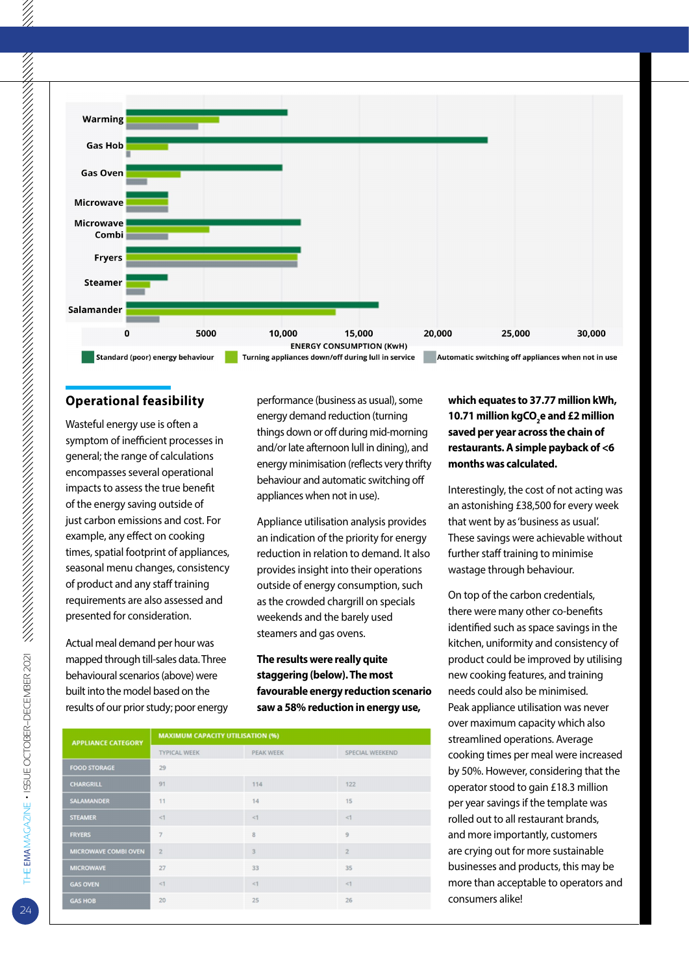

## **Operational feasibility**

Wasteful energy use is often a symptom of inefficient processes in general; the range of calculations encompasses several operational impacts to assess the true benefit of the energy saving outside of just carbon emissions and cost. For example, any effect on cooking times, spatial footprint of appliances, seasonal menu changes, consistency of product and any staff training requirements are also assessed and presented for consideration.

Actual meal demand per hour was mapped through till-sales data. Three behavioural scenarios (above) were built into the model based on the results of our prior study; poor energy performance (business as usual), some energy demand reduction (turning things down or off during mid-morning and/or late afternoon lull in dining), and energy minimisation (reflects very thrifty behaviour and automatic switching off appliances when not in use).

Appliance utilisation analysis provides an indication of the priority for energy reduction in relation to demand. It also provides insight into their operations outside of energy consumption, such as the crowded chargrill on specials weekends and the barely used steamers and gas ovens.

**The results were really quite staggering (below). The most favourable energy reduction scenario saw a 58% reduction in energy use,** 

| <b>APPLIANCE CATEGORY</b>   | <b>MAXIMUM CAPACITY UTILISATION (%)</b> |                  |                 |  |
|-----------------------------|-----------------------------------------|------------------|-----------------|--|
|                             | <b>TYPICAL WEEK</b>                     | <b>PEAK WEEK</b> | SPECIAL WEEKEND |  |
| <b>FOOD STORAGE</b>         | 29                                      |                  |                 |  |
| <b>CHARGRILL</b>            | 91                                      | 114              | 122             |  |
| <b>SALAMANDER</b>           | 11                                      | 14               | 15              |  |
| <b>STEAMER</b>              | <1                                      | <1               | <1              |  |
| <b>FRYERS</b>               | $\overline{7}$                          | 8                | 9               |  |
| <b>MICROWAVE COMBI OVEN</b> | $\overline{2}$                          | 3                | $\overline{2}$  |  |
| <b>MICROWAVE</b>            | 27                                      | 33               | 35              |  |
| <b>GAS OVEN</b>             | <1                                      | <1               | <1              |  |
| <b>GAS HOB</b>              | 20                                      | 25               | 26              |  |
|                             |                                         |                  |                 |  |

## **which equates to 37.77 million kWh, 10.71 million kgCO2 e and £2 million saved per year across the chain of restaurants. A simple payback of <6 months was calculated.**

Interestingly, the cost of not acting was an astonishing £38,500 for every week that went by as 'business as usual'. These savings were achievable without further staff training to minimise wastage through behaviour.

On top of the carbon credentials, there were many other co-benefits identified such as space savings in the kitchen, uniformity and consistency of product could be improved by utilising new cooking features, and training needs could also be minimised. Peak appliance utilisation was never over maximum capacity which also streamlined operations. Average cooking times per meal were increased by 50%. However, considering that the operator stood to gain £18.3 million per year savings if the template was rolled out to all restaurant brands, and more importantly, customers are crying out for more sustainable businesses and products, this may be more than acceptable to operators and consumers alike!

24